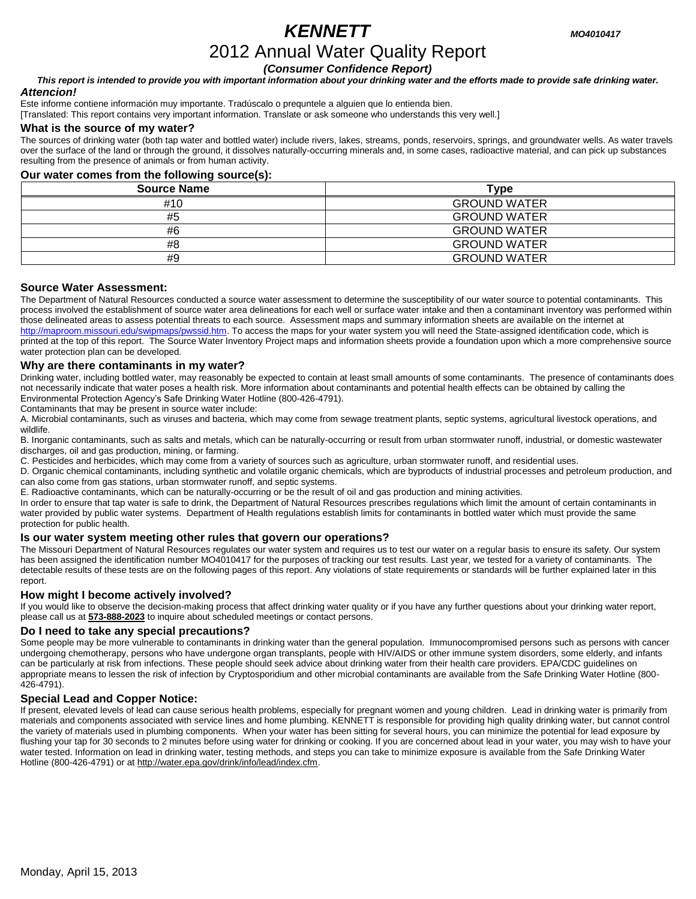# *KENNETT MO4010417*

# 2012 Annual Water Quality Report

*(Consumer Confidence Report)*

*This report is intended to provide you with important information about your drinking water and the efforts made to provide safe drinking water. Attencion!*

Este informe contiene información muy importante. Tradúscalo o prequntele a alguien que lo entienda bien.

[Translated: This report contains very important information. Translate or ask someone who understands this very well.]

### **What is the source of my water?**

The sources of drinking water (both tap water and bottled water) include rivers, lakes, streams, ponds, reservoirs, springs, and groundwater wells. As water travels over the surface of the land or through the ground, it dissolves naturally-occurring minerals and, in some cases, radioactive material, and can pick up substances resulting from the presence of animals or from human activity.

# **Our water comes from the following source(s):**

| <b>Source Name</b> | Type                |
|--------------------|---------------------|
| #10                | <b>GROUND WATER</b> |
| #5                 | <b>GROUND WATER</b> |
| #6                 | <b>GROUND WATER</b> |
| #8                 | <b>GROUND WATER</b> |
| #9                 | <b>GROUND WATER</b> |

# **Source Water Assessment:**

The Department of Natural Resources conducted a source water assessment to determine the susceptibility of our water source to potential contaminants. This process involved the establishment of source water area delineations for each well or surface water intake and then a contaminant inventory was performed within those delineated areas to assess potential threats to each source. Assessment maps and summary information sheets are available on the internet at [http://maproom.missouri.edu/swipmaps/pwssid.htm.](http://maproom.missouri.edu/swipmaps/pwssid.htm) To access the maps for your water system you will need the State-assigned identification code, which is printed at the top of this report. The Source Water Inventory Project maps and information sheets provide a foundation upon which a more comprehensive source water protection plan can be developed.

# **Why are there contaminants in my water?**

Drinking water, including bottled water, may reasonably be expected to contain at least small amounts of some contaminants. The presence of contaminants does not necessarily indicate that water poses a health risk. More information about contaminants and potential health effects can be obtained by calling the Environmental Protection Agency's Safe Drinking Water Hotline (800-426-4791).

Contaminants that may be present in source water include:

A. Microbial contaminants, such as viruses and bacteria, which may come from sewage treatment plants, septic systems, agricultural livestock operations, and wildlife.

B. Inorganic contaminants, such as salts and metals, which can be naturally-occurring or result from urban stormwater runoff, industrial, or domestic wastewater discharges, oil and gas production, mining, or farming.

C. Pesticides and herbicides, which may come from a variety of sources such as agriculture, urban stormwater runoff, and residential uses.

D. Organic chemical contaminants, including synthetic and volatile organic chemicals, which are byproducts of industrial processes and petroleum production, and can also come from gas stations, urban stormwater runoff, and septic systems.

E. Radioactive contaminants, which can be naturally-occurring or be the result of oil and gas production and mining activities.

In order to ensure that tap water is safe to drink, the Department of Natural Resources prescribes regulations which limit the amount of certain contaminants in water provided by public water systems. Department of Health regulations establish limits for contaminants in bottled water which must provide the same protection for public health.

# **Is our water system meeting other rules that govern our operations?**

The Missouri Department of Natural Resources regulates our water system and requires us to test our water on a regular basis to ensure its safety. Our system has been assigned the identification number MO4010417 for the purposes of tracking our test results. Last year, we tested for a variety of contaminants. The detectable results of these tests are on the following pages of this report. Any violations of state requirements or standards will be further explained later in this report.

# **How might I become actively involved?**

If you would like to observe the decision-making process that affect drinking water quality or if you have any further questions about your drinking water report, please call us at **573-888-2023** to inquire about scheduled meetings or contact persons.

#### **Do I need to take any special precautions?**

Some people may be more vulnerable to contaminants in drinking water than the general population. Immunocompromised persons such as persons with cancer undergoing chemotherapy, persons who have undergone organ transplants, people with HIV/AIDS or other immune system disorders, some elderly, and infants can be particularly at risk from infections. These people should seek advice about drinking water from their health care providers. EPA/CDC guidelines on appropriate means to lessen the risk of infection by Cryptosporidium and other microbial contaminants are available from the Safe Drinking Water Hotline (800- 426-4791).

# **Special Lead and Copper Notice:**

If present, elevated levels of lead can cause serious health problems, especially for pregnant women and young children. Lead in drinking water is primarily from materials and components associated with service lines and home plumbing. KENNETT is responsible for providing high quality drinking water, but cannot control the variety of materials used in plumbing components. When your water has been sitting for several hours, you can minimize the potential for lead exposure by flushing your tap for 30 seconds to 2 minutes before using water for drinking or cooking. If you are concerned about lead in your water, you may wish to have your water tested. Information on lead in drinking water, testing methods, and steps you can take to minimize exposure is available from the Safe Drinking Water Hotline (800-426-4791) or a[t http://water.epa.gov/drink/info/lead/index.cfm.](http://water.epa.gov/drink/info/lead/index.cfm)